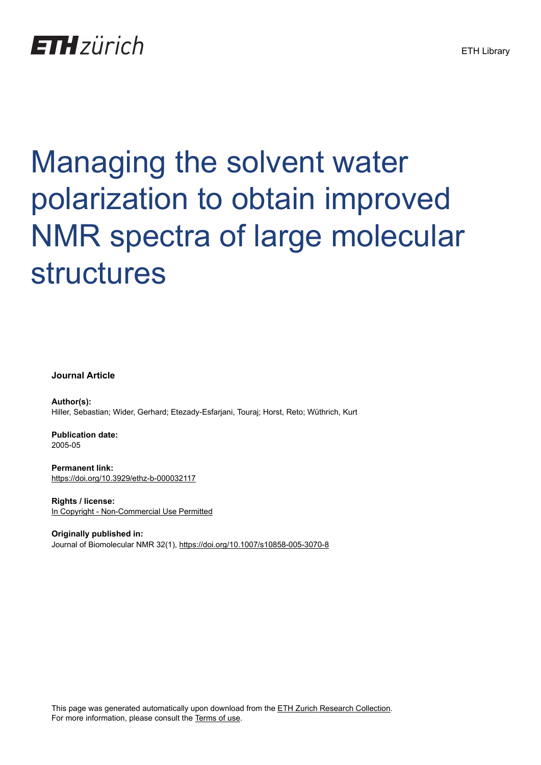## **ETH** zürich

# Managing the solvent water polarization to obtain improved NMR spectra of large molecular structures

**Journal Article**

**Author(s):** Hiller, Sebastian; Wider, Gerhard; Etezady-Esfarjani, Touraj; Horst, Reto; Wüthrich, Kurt

**Publication date:** 2005-05

**Permanent link:** <https://doi.org/10.3929/ethz-b-000032117>

**Rights / license:** [In Copyright - Non-Commercial Use Permitted](http://rightsstatements.org/page/InC-NC/1.0/)

**Originally published in:** Journal of Biomolecular NMR 32(1),<https://doi.org/10.1007/s10858-005-3070-8>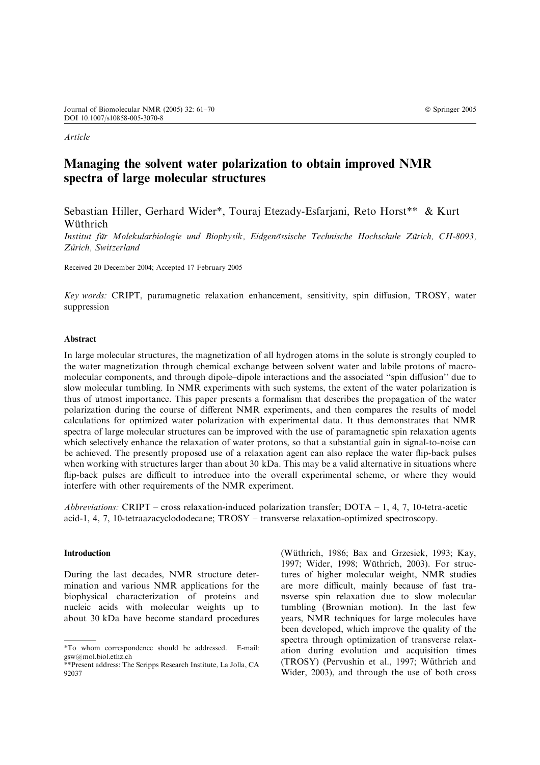Article

### Managing the solvent water polarization to obtain improved NMR spectra of large molecular structures

Sebastian Hiller, Gerhard Wider\*, Touraj Etezady-Esfarjani, Reto Horst\*\* & Kurt Wüthrich

Institut für Molekularbiologie und Biophysik, Eidgenössische Technische Hochschule Zürich, CH-8093, Zürich, Switzerland

Received 20 December 2004; Accepted 17 February 2005

Key words: CRIPT, paramagnetic relaxation enhancement, sensitivity, spin diffusion, TROSY, water suppression

#### Abstract

In large molecular structures, the magnetization of all hydrogen atoms in the solute is strongly coupled to the water magnetization through chemical exchange between solvent water and labile protons of macromolecular components, and through dipole–dipole interactions and the associated ''spin diffusion'' due to slow molecular tumbling. In NMR experiments with such systems, the extent of the water polarization is thus of utmost importance. This paper presents a formalism that describes the propagation of the water polarization during the course of different NMR experiments, and then compares the results of model calculations for optimized water polarization with experimental data. It thus demonstrates that NMR spectra of large molecular structures can be improved with the use of paramagnetic spin relaxation agents which selectively enhance the relaxation of water protons, so that a substantial gain in signal-to-noise can be achieved. The presently proposed use of a relaxation agent can also replace the water flip-back pulses when working with structures larger than about 30 kDa. This may be a valid alternative in situations where flip-back pulses are difficult to introduce into the overall experimental scheme, or where they would interfere with other requirements of the NMR experiment.

Abbreviations: CRIPT – cross relaxation-induced polarization transfer;  $DOTA - 1$ , 4, 7, 10-tetra-acetic acid-1, 4, 7, 10-tetraazacyclododecane; TROSY – transverse relaxation-optimized spectroscopy.

#### Introduction

During the last decades, NMR structure determination and various NMR applications for the biophysical characterization of proteins and nucleic acids with molecular weights up to about 30 kDa have become standard procedures (Wüthrich, 1986; Bax and Grzesiek, 1993; Kay, 1997; Wider, 1998; Wüthrich, 2003). For structures of higher molecular weight, NMR studies are more difficult, mainly because of fast transverse spin relaxation due to slow molecular tumbling (Brownian motion). In the last few years, NMR techniques for large molecules have been developed, which improve the quality of the spectra through optimization of transverse relaxation during evolution and acquisition times (TROSY) (Pervushin et al., 1997; Wüthrich and Wider, 2003), and through the use of both cross

<sup>\*</sup>To whom correspondence should be addressed. E-mail: gsw@mol.biol.ethz.ch

<sup>\*\*</sup>Present address: The Scripps Research Institute, La Jolla, CA 92037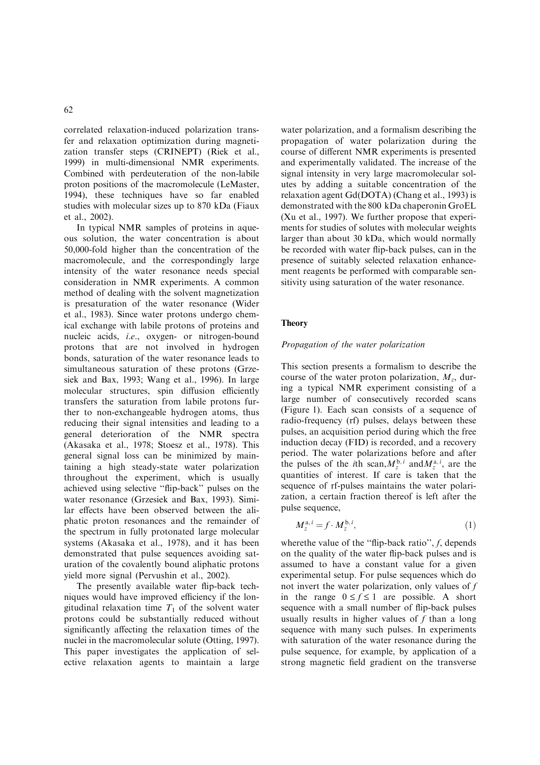correlated relaxation-induced polarization transfer and relaxation optimization during magnetization transfer steps (CRINEPT) (Riek et al., 1999) in multi-dimensional NMR experiments. Combined with perdeuteration of the non-labile proton positions of the macromolecule (LeMaster, 1994), these techniques have so far enabled studies with molecular sizes up to 870 kDa (Fiaux et al., 2002).

In typical NMR samples of proteins in aqueous solution, the water concentration is about 50,000-fold higher than the concentration of the macromolecule, and the correspondingly large intensity of the water resonance needs special consideration in NMR experiments. A common method of dealing with the solvent magnetization is presaturation of the water resonance (Wider et al., 1983). Since water protons undergo chemical exchange with labile protons of proteins and nucleic acids, i.e., oxygen- or nitrogen-bound protons that are not involved in hydrogen bonds, saturation of the water resonance leads to simultaneous saturation of these protons (Grzesiek and Bax, 1993; Wang et al., 1996). In large molecular structures, spin diffusion efficiently transfers the saturation from labile protons further to non-exchangeable hydrogen atoms, thus reducing their signal intensities and leading to a general deterioration of the NMR spectra (Akasaka et al., 1978; Stoesz et al., 1978). This general signal loss can be minimized by maintaining a high steady-state water polarization throughout the experiment, which is usually achieved using selective ''flip-back'' pulses on the water resonance (Grzesiek and Bax, 1993). Similar effects have been observed between the aliphatic proton resonances and the remainder of the spectrum in fully protonated large molecular systems (Akasaka et al., 1978), and it has been demonstrated that pulse sequences avoiding saturation of the covalently bound aliphatic protons yield more signal (Pervushin et al., 2002).

The presently available water flip-back techniques would have improved efficiency if the longitudinal relaxation time  $T_1$  of the solvent water protons could be substantially reduced without significantly affecting the relaxation times of the nuclei in the macromolecular solute (Otting, 1997). This paper investigates the application of selective relaxation agents to maintain a large

water polarization, and a formalism describing the propagation of water polarization during the course of different NMR experiments is presented and experimentally validated. The increase of the signal intensity in very large macromolecular solutes by adding a suitable concentration of the relaxation agent Gd(DOTA) (Chang et al., 1993) is demonstrated with the 800 kDa chaperonin GroEL (Xu et al., 1997). We further propose that experiments for studies of solutes with molecular weights larger than about 30 kDa, which would normally be recorded with water flip-back pulses, can in the presence of suitably selected relaxation enhancement reagents be performed with comparable sensitivity using saturation of the water resonance.

#### **Theory**

#### Propagation of the water polarization

This section presents a formalism to describe the course of the water proton polarization,  $M<sub>z</sub>$ , during a typical NMR experiment consisting of a large number of consecutively recorded scans (Figure 1). Each scan consists of a sequence of radio-frequency (rf) pulses, delays between these pulses, an acquisition period during which the free induction decay (FID) is recorded, and a recovery period. The water polarizations before and after the pulses of the *i*th scan,  $M_{z}^{b,i}$  and  $M_{z}^{a,i}$ , are the quantities of interest. If care is taken that the sequence of rf-pulses maintains the water polarization, a certain fraction thereof is left after the pulse sequence,

$$
M_z^{\mathbf{a},i} = f \cdot M_z^{\mathbf{b},i},\tag{1}
$$

where the value of the "flip-back ratio", f, depends on the quality of the water flip-back pulses and is assumed to have a constant value for a given experimental setup. For pulse sequences which do not invert the water polarization, only values of f in the range  $0 \le f \le 1$  are possible. A short sequence with a small number of flip-back pulses usually results in higher values of  $f$  than a long sequence with many such pulses. In experiments with saturation of the water resonance during the pulse sequence, for example, by application of a strong magnetic field gradient on the transverse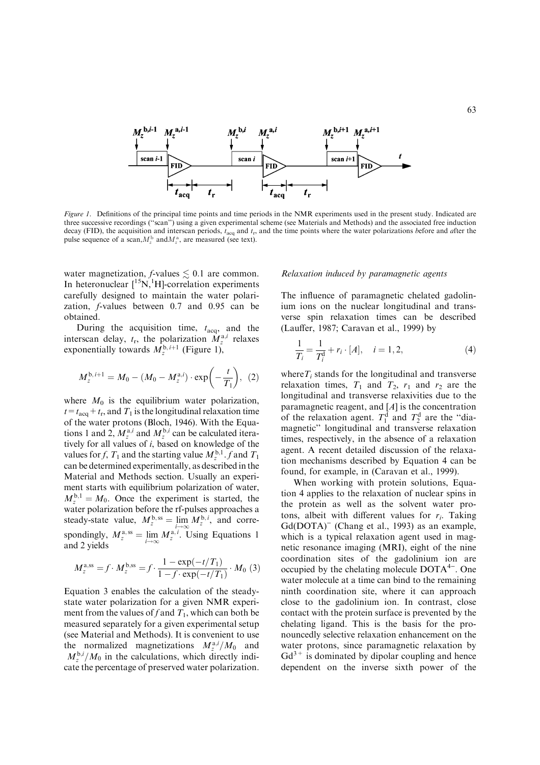

Figure 1. Definitions of the principal time points and time periods in the NMR experiments used in the present study. Indicated are three successive recordings (''scan'') using a given experimental scheme (see Materials and Methods) and the associated free induction decay (FID), the acquisition and interscan periods,  $t_{\text{acq}}$  and  $t_{\text{r}}$ , and the time points where the water polarizations before and after the pulse sequence of a scan, $M_z^{\text{b}}$  and $M_z^{\text{a}}$ , are measured (see text).

water magnetization, *f*-values  $\leq 0.1$  are common. In heteronuclear  $\left[{}^{15}N, {}^{1}H\right]$ -correlation experiments carefully designed to maintain the water polarization, f-values between 0.7 and 0.95 can be obtained.

During the acquisition time,  $t_{\text{acq}}$ , and the interscan delay,  $t_r$ , the polarization  $M_z^{a,i}$  relaxes exponentially towards  $M_{\zeta}^{b,i+1}$  (Figure 1),

$$
M_z^{\mathrm{b},i+1} = M_0 - (M_0 - M_z^{\mathrm{a},i}) \cdot \exp\bigg(-\frac{t}{T_1}\bigg), (2)
$$

where  $M_0$  is the equilibrium water polarization,  $t=t_{\text{acq}}+t_{\text{r}}$ , and  $T_1$  is the longitudinal relaxation time of the water protons (Bloch, 1946). With the Equations 1 and 2,  $M_{\tau}^{\text{a},i}$  and  $M_{\tau}^{\text{b},i}$  can be calculated iteratively for all values of  $i$ , based on knowledge of the values for f,  $T_1$  and the starting value  $M_7^{b,1}$ . f and  $T_1$ can be determined experimentally, as described in the Material and Methods section. Usually an experiment starts with equilibrium polarization of water,  $M_{\tilde{z}}^{b,1} = M_0$ . Once the experiment is started, the water polarization before the rf-pulses approaches a steady-state value,  $M_z^{\text{b},\text{ss}} = \lim_{i \to \infty} M_z^{\text{b},i}$ , and correspondingly,  $M_z^{a,ss} = \lim_{i \to \infty} M_z^{a,i}$ . Using Equations 1 and 2 yields

$$
M_z^{\text{a,ss}} = f \cdot M_z^{\text{b,ss}} = f \cdot \frac{1 - \exp(-t/T_1)}{1 - f \cdot \exp(-t/T_1)} \cdot M_0 \text{ (3)}
$$

Equation 3 enables the calculation of the steadystate water polarization for a given NMR experiment from the values of f and  $T_1$ , which can both be measured separately for a given experimental setup (see Material and Methods). It is convenient to use the normalized magnetizations  $M_{\tau}^{a,i}/M_0$  and  $M_{\tau}^{b,i}/M_0$  in the calculations, which directly indicate the percentage of preserved water polarization.

#### Relaxation induced by paramagnetic agents

The influence of paramagnetic chelated gadolinium ions on the nuclear longitudinal and transverse spin relaxation times can be described (Lauffer, 1987; Caravan et al., 1999) by

$$
\frac{1}{T_i} = \frac{1}{T_i^d} + r_i \cdot [A], \quad i = 1, 2,
$$
\n(4)

where  $T_i$  stands for the longitudinal and transverse relaxation times,  $T_1$  and  $T_2$ ,  $r_1$  and  $r_2$  are the longitudinal and transverse relaxivities due to the paramagnetic reagent, and  $[A]$  is the concentration of the relaxation agent.  $T_1^d$  and  $T_2^d$  are the "diamagnetic'' longitudinal and transverse relaxation times, respectively, in the absence of a relaxation agent. A recent detailed discussion of the relaxation mechanisms described by Equation 4 can be found, for example, in (Caravan et al., 1999).

When working with protein solutions, Equation 4 applies to the relaxation of nuclear spins in the protein as well as the solvent water protons, albeit with different values for  $r_i$ . Taking Gd(DOTA)<sup>-</sup> (Chang et al., 1993) as an example, which is a typical relaxation agent used in magnetic resonance imaging (MRI), eight of the nine coordination sites of the gadolinium ion are occupied by the chelating molecule  $DOTA<sup>4-</sup>$ . One water molecule at a time can bind to the remaining ninth coordination site, where it can approach close to the gadolinium ion. In contrast, close contact with the protein surface is prevented by the chelating ligand. This is the basis for the pronouncedly selective relaxation enhancement on the water protons, since paramagnetic relaxation by  $Gd^{3+}$  is dominated by dipolar coupling and hence dependent on the inverse sixth power of the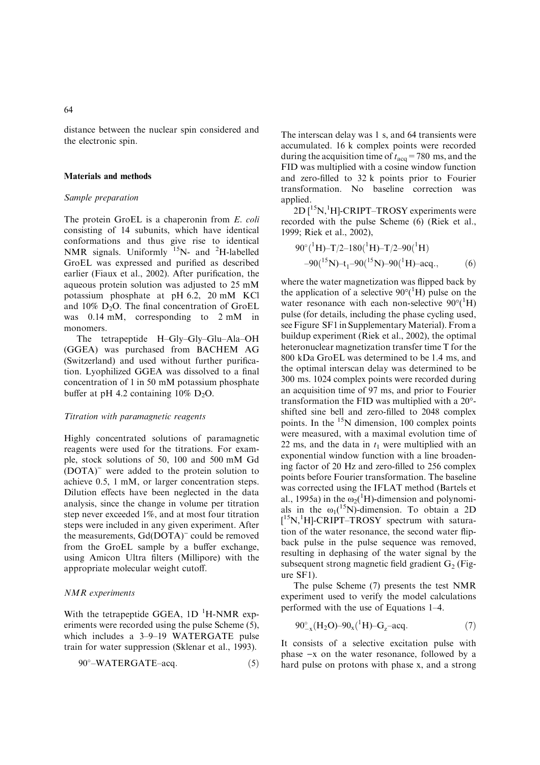distance between the nuclear spin considered and the electronic spin.

#### Materials and methods

#### Sample preparation

The protein GroEL is a chaperonin from E. coli consisting of 14 subunits, which have identical conformations and thus give rise to identical NMR signals. Uniformly  $15N$ - and <sup>2</sup>H-labelled GroEL was expressed and purified as described earlier (Fiaux et al., 2002). After purification, the aqueous protein solution was adjusted to 25 mM potassium phosphate at pH 6.2, 20 mM KCl and  $10\%$  D<sub>2</sub>O. The final concentration of GroEL was 0.14 mM, corresponding to 2 mM in monomers.

The tetrapeptide H–Gly–Gly–Glu–Ala–OH (GGEA) was purchased from BACHEM AG (Switzerland) and used without further purification. Lyophilized GGEA was dissolved to a final concentration of 1 in 50 mM potassium phosphate buffer at pH 4.2 containing  $10\%$  D<sub>2</sub>O.

#### Titration with paramagnetic reagents

Highly concentrated solutions of paramagnetic reagents were used for the titrations. For example, stock solutions of 50, 100 and 500 mM Gd (DOTA)) were added to the protein solution to achieve 0.5, 1 mM, or larger concentration steps. Dilution effects have been neglected in the data analysis, since the change in volume per titration step never exceeded 1%, and at most four titration steps were included in any given experiment. After the measurements, Gd(DOTA)<sup>-</sup> could be removed from the GroEL sample by a buffer exchange, using Amicon Ultra filters (Millipore) with the appropriate molecular weight cutoff.

#### NMR experiments

With the tetrapeptide GGEA,  $1D^{-1}H\text{-NMR}$  experiments were recorded using the pulse Scheme (5), which includes a 3–9–19 WATERGATE pulse train for water suppression (Sklenar et al., 1993).

$$
90^{\circ} - \text{WATERGATE} - \text{acq.} \tag{5}
$$

The interscan delay was 1 s, and 64 transients were accumulated. 16 k complex points were recorded during the acquisition time of  $t_{\text{acq}} = 780 \text{ ms}$ , and the FID was multiplied with a cosine window function and zero-filled to 32 k points prior to Fourier transformation. No baseline correction was applied.

 $2D[^{15}N, ^1H]$ -CRIPT–TROSY experiments were recorded with the pulse Scheme (6) (Riek et al., 1999; Riek et al., 2002),

$$
90^{\circ}({}^{1}\text{H}) - T/2 - 180({}^{1}\text{H}) - T/2 - 90({}^{1}\text{H})
$$
  
-90( ${}^{15}\text{N}$ ) - t<sub>1</sub> -90( ${}^{15}\text{N}$ ) -90( ${}^{1}\text{H}$ ) -acq., (6)

where the water magnetization was flipped back by the application of a selective  $90^{\circ}$ (<sup>1</sup>H) pulse on the water resonance with each non-selective  $90^{\circ}$ <sup>(1</sup>H) pulse (for details, including the phase cycling used, see Figure SF1 in Supplementary Material). From a buildup experiment (Riek et al., 2002), the optimal heteronuclear magnetization transfer time T for the 800 kDa GroEL was determined to be 1.4 ms, and the optimal interscan delay was determined to be 300 ms. 1024 complex points were recorded during an acquisition time of 97 ms, and prior to Fourier transformation the FID was multiplied with a 20- shifted sine bell and zero-filled to 2048 complex points. In the  $15N$  dimension, 100 complex points were measured, with a maximal evolution time of 22 ms, and the data in  $t_1$  were multiplied with an exponential window function with a line broadening factor of 20 Hz and zero-filled to 256 complex points before Fourier transformation. The baseline was corrected using the IFLAT method (Bartels et al., 1995a) in the  $\omega_2(^1H)$ -dimension and polynomials in the  $\omega_1$ <sup>15</sup>N)-dimension. To obtain a 2D [<sup>15</sup>N,<sup>1</sup>H]-CRIPT–TROSY spectrum with saturation of the water resonance, the second water flipback pulse in the pulse sequence was removed, resulting in dephasing of the water signal by the subsequent strong magnetic field gradient  $G<sub>2</sub>$  (Figure SF1).

The pulse Scheme (7) presents the test NMR experiment used to verify the model calculations performed with the use of Equations 1–4.

$$
90^{\circ}_{-x}(H_2O) - 90_x(^1H) - G_2 - acq. \tag{7}
$$

It consists of a selective excitation pulse with phase  $-x$  on the water resonance, followed by a hard pulse on protons with phase x, and a strong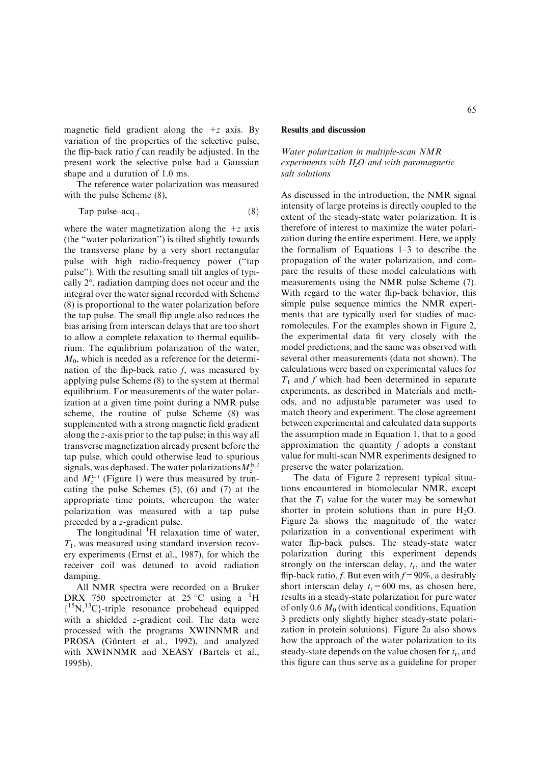magnetic field gradient along the  $+z$  axis. By variation of the properties of the selective pulse, the flip-back ratio  $f$  can readily be adjusted. In the present work the selective pulse had a Gaussian shape and a duration of 1.0 ms.

The reference water polarization was measured with the pulse Scheme (8),

$$
Tap pulse-acq., \t\t(8)
$$

where the water magnetization along the  $+z$  axis (the ''water polarization'') is tilted slightly towards the transverse plane by a very short rectangular pulse with high radio-frequency power (''tap pulse''). With the resulting small tilt angles of typically  $2^{\circ}$ , radiation damping does not occur and the integral over the water signal recorded with Scheme (8) is proportional to the water polarization before the tap pulse. The small flip angle also reduces the bias arising from interscan delays that are too short to allow a complete relaxation to thermal equilibrium. The equilibrium polarization of the water,  $M<sub>0</sub>$ , which is needed as a reference for the determination of the flip-back ratio  $f$ , was measured by applying pulse Scheme (8) to the system at thermal equilibrium. For measurements of the water polarization at a given time point during a NMR pulse scheme, the routine of pulse Scheme (8) was supplemented with a strong magnetic field gradient along the z-axis prior to the tap pulse; in this way all transverse magnetization already present before the tap pulse, which could otherwise lead to spurious signals, was dephased. The water polarizations  $M_{\zeta}^{b,i}$ and  $M_{\tau}^{a,i}$  (Figure 1) were thus measured by truncating the pulse Schemes (5), (6) and (7) at the appropriate time points, whereupon the water polarization was measured with a tap pulse preceded by a z-gradient pulse.

The longitudinal  ${}^{1}H$  relaxation time of water,  $T_1$ , was measured using standard inversion recovery experiments (Ernst et al., 1987), for which the receiver coil was detuned to avoid radiation damping.

All NMR spectra were recorded on a Bruker DRX 750 spectrometer at 25 °C using a  ${}^{1}H$ { 15N,13C}-triple resonance probehead equipped with a shielded z-gradient coil. The data were processed with the programs XWINNMR and PROSA (Güntert et al., 1992), and analyzed with XWINNMR and XEASY (Bartels et al., 1995b).

#### Results and discussion

#### Water polarization in multiple-scan NMR experiments with  $H_2O$  and with paramagnetic salt solutions

As discussed in the introduction, the NMR signal intensity of large proteins is directly coupled to the extent of the steady-state water polarization. It is therefore of interest to maximize the water polarization during the entire experiment. Here, we apply the formalism of Equations 1–3 to describe the propagation of the water polarization, and compare the results of these model calculations with measurements using the NMR pulse Scheme (7). With regard to the water flip-back behavior, this simple pulse sequence mimics the NMR experiments that are typically used for studies of macromolecules. For the examples shown in Figure 2, the experimental data fit very closely with the model predictions, and the same was observed with several other measurements (data not shown). The calculations were based on experimental values for  $T_1$  and f which had been determined in separate experiments, as described in Materials and methods, and no adjustable parameter was used to match theory and experiment. The close agreement between experimental and calculated data supports the assumption made in Equation 1, that to a good approximation the quantity  $f$  adopts a constant value for multi-scan NMR experiments designed to preserve the water polarization.

The data of Figure 2 represent typical situations encountered in biomolecular NMR, except that the  $T_1$  value for the water may be somewhat shorter in protein solutions than in pure  $H_2O$ . Figure 2a shows the magnitude of the water polarization in a conventional experiment with water flip-back pulses. The steady-state water polarization during this experiment depends strongly on the interscan delay,  $t_r$ , and the water flip-back ratio, f. But even with  $f=90\%$ , a desirably short interscan delay  $t_r = 600$  ms, as chosen here, results in a steady-state polarization for pure water of only 0.6  $M_0$  (with identical conditions, Equation 3 predicts only slightly higher steady-state polarization in protein solutions). Figure 2a also shows how the approach of the water polarization to its steady-state depends on the value chosen for  $t_r$ , and this figure can thus serve as a guideline for proper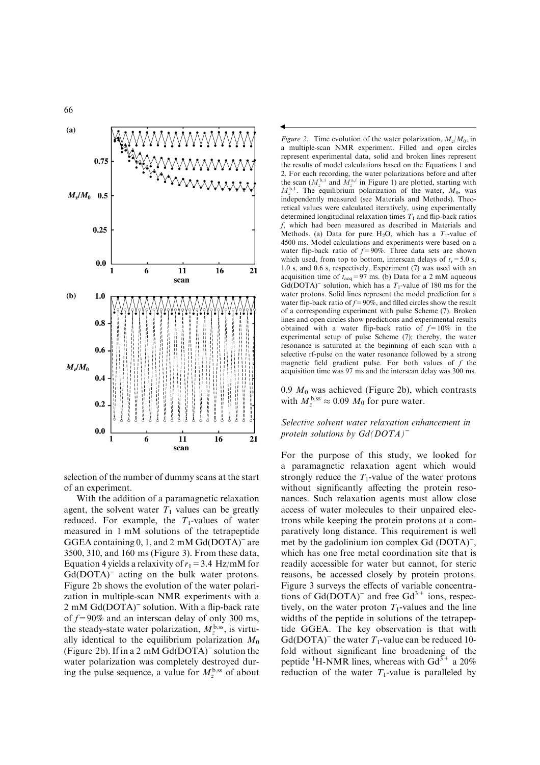

selection of the number of dummy scans at the start of an experiment.

With the addition of a paramagnetic relaxation agent, the solvent water  $T_1$  values can be greatly reduced. For example, the  $T_1$ -values of water measured in 1 mM solutions of the tetrapeptide GGEA containing  $0, 1$ , and  $2 \text{ mM } \text{Gd}(\text{DOTA})$ <sup>-</sup> are 3500, 310, and 160 ms (Figure 3). From these data, Equation 4 yields a relaxivity of  $r_1 = 3.4$  Hz/mM for  $Gd(DOTA)^-$  acting on the bulk water protons. Figure 2b shows the evolution of the water polarization in multiple-scan NMR experiments with a  $2 \text{ mM } Gd(DOTA)^-$  solution. With a flip-back rate of  $f=90\%$  and an interscan delay of only 300 ms, the steady-state water polarization,  $M_{z}^{\text{b,ss}}$ , is virtually identical to the equilibrium polarization  $M_0$ (Figure 2b). If in a 2 mM  $Gd(DOTA)^-$  solution the water polarization was completely destroyed during the pulse sequence, a value for  $M_{\tau}^{\rm b, ss}$  of about

Figure 2. Time evolution of the water polarization,  $M_z/M_0$ , in a multiple-scan NMR experiment. Filled and open circles represent experimental data, solid and broken lines represent the results of model calculations based on the Equations 1 and 2. For each recording, the water polarizations before and after the scan  $(M_z^{b,i}$  and  $M_z^{a,i}$  in Figure 1) are plotted, starting with  $M_{z}^{b,1}$ . The equilibrium polarization of the water,  $M_0$ , was independently measured (see Materials and Methods). Theoretical values were calculated iteratively, using experimentally determined longitudinal relaxation times  $T_1$  and flip-back ratios f, which had been measured as described in Materials and Methods. (a) Data for pure H<sub>2</sub>O, which has a  $T_1$ -value of 4500 ms. Model calculations and experiments were based on a water flip-back ratio of  $f=90\%$ . Three data sets are shown which used, from top to bottom, interscan delays of  $t_r = 5.0$  s, 1.0 s, and 0.6 s, respectively. Experiment (7) was used with an acquisition time of  $t_{\text{acq}}=97 \text{ ms}$ . (b) Data for a 2 mM aqueous  $Gd(DOTA)^-$  solution, which has a  $T_1$ -value of 180 ms for the water protons. Solid lines represent the model prediction for a water flip-back ratio of  $f=90\%$ , and filled circles show the result of a corresponding experiment with pulse Scheme (7). Broken lines and open circles show predictions and experimental results obtained with a water flip-back ratio of  $f=10\%$  in the experimental setup of pulse Scheme (7); thereby, the water resonance is saturated at the beginning of each scan with a selective rf-pulse on the water resonance followed by a strong magnetic field gradient pulse. For both values of  $f$  the acquisition time was 97 ms and the interscan delay was 300 ms.

 $\blacktriangleleft$ 

0.9  $M_0$  was achieved (Figure 2b), which contrasts with  $M_{\tau}^{\text{b,ss}} \approx 0.09 M_0$  for pure water.

#### Selective solvent water relaxation enhancement in protein solutions by  $Gd(DOTA)^{-}$

For the purpose of this study, we looked for a paramagnetic relaxation agent which would strongly reduce the  $T_1$ -value of the water protons without significantly affecting the protein resonances. Such relaxation agents must allow close access of water molecules to their unpaired electrons while keeping the protein protons at a comparatively long distance. This requirement is well met by the gadolinium ion complex Gd (DOTA)<sup>-</sup>, which has one free metal coordination site that is readily accessible for water but cannot, for steric reasons, be accessed closely by protein protons. Figure 3 surveys the effects of variable concentrations of  $Gd(DOTA)^-$  and free  $Gd^{3+}$  ions, respectively, on the water proton  $T_1$ -values and the line widths of the peptide in solutions of the tetrapeptide GGEA. The key observation is that with Gd(DOTA)<sup>-</sup> the water  $T_1$ -value can be reduced 10fold without significant line broadening of the peptide <sup>1</sup>H-NMR lines, whereas with  $Gd^{3+}$  a 20% reduction of the water  $T_1$ -value is paralleled by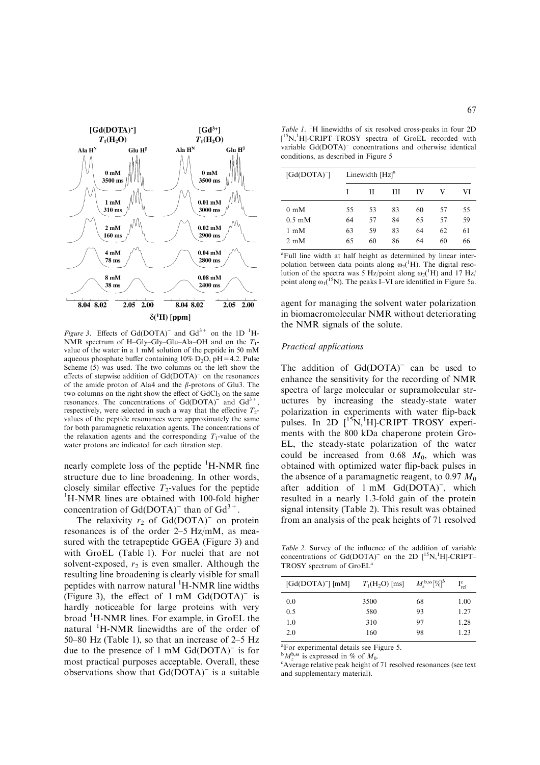

Figure 3. Effects of Gd(DOTA)<sup>-</sup> and Gd<sup>3+</sup> on the 1D<sup>-1</sup>H-NMR spectrum of H–Gly–Gly–Glu–Ala–OH and on the  $T_1$ value of the water in a 1 mM solution of the peptide in 50 mM aqueous phosphate buffer containing  $10\%$  D<sub>2</sub>O, pH = 4.2. Pulse Scheme (5) was used. The two columns on the left show the effects of stepwise addition of  $Gd(DOTA)^-$  on the resonances of the amide proton of Ala4 and the *b*-protons of Glu3. The two columns on the right show the effect of  $GdCl<sub>3</sub>$  on the same resonances. The concentrations of  $Gd(DOTA)^{-}$  and  $Gd^{3+}$ , respectively, were selected in such a way that the effective  $T_2$ values of the peptide resonances were approximately the same for both paramagnetic relaxation agents. The concentrations of the relaxation agents and the corresponding  $T_1$ -value of the water protons are indicated for each titration step.

nearly complete loss of the peptide <sup>1</sup>H-NMR fine structure due to line broadening. In other words, closely similar effective  $T_2$ -values for the peptide <sup>1</sup>H-NMR lines are obtained with 100-fold higher concentration of  $Gd(DOTA)^-$  than of  $Gd^{3+}$ .

The relaxivity  $r_2$  of Gd(DOTA)<sup>-</sup> on protein resonances is of the order 2–5 Hz/mM, as measured with the tetrapeptide GGEA (Figure 3) and with GroEL (Table 1). For nuclei that are not solvent-exposed,  $r_2$  is even smaller. Although the resulting line broadening is clearly visible for small peptides with narrow natural <sup>1</sup>H-NMR line widths (Figure 3), the effect of  $1 \text{ mM } Gd(DOTA)^{-1}$  is hardly noticeable for large proteins with very broad <sup>1</sup>H-NMR lines. For example, in GroEL the natural <sup>1</sup>H-NMR linewidths are of the order of 50–80 Hz (Table 1), so that an increase of 2–5 Hz due to the presence of 1 mM  $Gd(DOTA)^{-}$  is for most practical purposes acceptable. Overall, these observations show that  $Gd(DOTA)^-$  is a suitable

Table 1. <sup>1</sup>H linewidths of six resolved cross-peaks in four 2D [<sup>15</sup>N,<sup>1</sup>H]-CRIPT-TROSY spectra of GroEL recorded with variable Gd(DOTA)<sup>-</sup> concentrations and otherwise identical conditions, as described in Figure 5

| $[Gd(DOTA)^-]$            |    | Linewidth $[Hz]$ <sup>a</sup> |    |    |    |    |  |
|---------------------------|----|-------------------------------|----|----|----|----|--|
|                           | I  | Н                             | Ш  | IV | v  | VI |  |
| $0 \text{ mM}$            | 55 | 53                            | 83 | 60 | 57 | 55 |  |
| $0.5 \text{ }\mathrm{mM}$ | 64 | 57                            | 84 | 65 | 57 | 59 |  |
| 1 mM                      | 63 | 59                            | 83 | 64 | 62 | 61 |  |
| $2 \text{ }\mathrm{mM}$   | 65 | 60                            | 86 | 64 | 60 | 66 |  |

<sup>a</sup>Full line width at half height as determined by linear interpolation between data points along  $\omega_2$ <sup>(1</sup>H). The digital resolution of the spectra was 5 Hz/point along  $\omega_2$ <sup>1</sup>H) and 17 Hz/ point along  $\omega_1$ <sup>(15</sup>N). The peaks I–VI are identified in Figure 5a.

agent for managing the solvent water polarization in biomacromolecular NMR without deteriorating the NMR signals of the solute.

#### Practical applications

The addition of  $Gd(DOTA)^-$  can be used to enhance the sensitivity for the recording of NMR spectra of large molecular or supramolecular structures by increasing the steady-state water polarization in experiments with water flip-back pulses. In 2D  $[$ <sup>15</sup>N,<sup>1</sup>H]-CRIPT-TROSY experiments with the 800 kDa chaperone protein Gro-EL, the steady-state polarization of the water could be increased from  $0.68$   $M_0$ , which was obtained with optimized water flip-back pulses in the absence of a paramagnetic reagent, to 0.97  $M_0$ after addition of 1 mM Gd(DOTA)<sup>-</sup>, which resulted in a nearly 1.3-fold gain of the protein signal intensity (Table 2). This result was obtained from an analysis of the peak heights of 71 resolved

Table 2. Survey of the influence of the addition of variable concentrations of  $Gd(DOTA)^-$  on the 2D  $[^{15}N, ^{1}H]$ -CRIPT-TROSY spectrum of GroEL<sup>a</sup>

| $\left[\text{Gd}(\text{DOTA})^{-}\right]\left[\text{mM}\right]$ | $T_1(H_2O)$ [ms] | $M_{z}^{\rm b, ss} [\%]^{b}$ | $\rm I_{rel}^c$ |
|-----------------------------------------------------------------|------------------|------------------------------|-----------------|
| 0.0                                                             | 3500             | 68                           | 1.00            |
| 0.5                                                             | 580              | 93                           | 1.27            |
| 1.0                                                             | 310              | 97                           | 1.28            |
| 2.0                                                             | 160              | 98                           | 1.23            |
|                                                                 |                  |                              |                 |

a For experimental details see Figure 5.

 ${}^{\text{b}}M_2^{\text{b,ss}}$  is expressed in % of  $M_0$ .

<sup>c</sup>Average relative peak height of 71 resolved resonances (see text and supplementary material).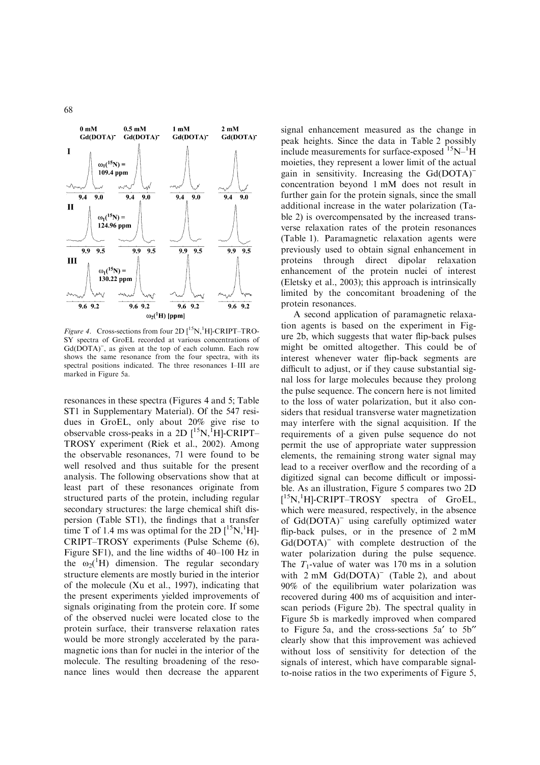

Figure 4. Cross-sections from four  $2D[^{15}N, ^1H]$ -CRIPT-TRO-SY spectra of GroEL recorded at various concentrations of Gd(DOTA)<sup>-</sup>, as given at the top of each column. Each row shows the same resonance from the four spectra, with its spectral positions indicated. The three resonances I–III are marked in Figure 5a.

resonances in these spectra (Figures 4 and 5; Table ST1 in Supplementary Material). Of the 547 residues in GroEL, only about 20% give rise to observable cross-peaks in a 2D  $[{}^{15}N, {}^{1}H]$ -CRIPT-TROSY experiment (Riek et al., 2002). Among the observable resonances, 71 were found to be well resolved and thus suitable for the present analysis. The following observations show that at least part of these resonances originate from structured parts of the protein, including regular secondary structures: the large chemical shift dispersion (Table ST1), the findings that a transfer time T of 1.4 ms was optimal for the 2D  $[{}^{15}N, {}^{1}H]$ -CRIPT–TROSY experiments (Pulse Scheme (6), Figure SF1), and the line widths of 40–100 Hz in the  $\omega_2(^1H)$  dimension. The regular secondary structure elements are mostly buried in the interior of the molecule (Xu et al., 1997), indicating that the present experiments yielded improvements of signals originating from the protein core. If some of the observed nuclei were located close to the protein surface, their transverse relaxation rates would be more strongly accelerated by the paramagnetic ions than for nuclei in the interior of the molecule. The resulting broadening of the resonance lines would then decrease the apparent signal enhancement measured as the change in peak heights. Since the data in Table 2 possibly include measurements for surface-exposed  $15N-1H$ moieties, they represent a lower limit of the actual gain in sensitivity. Increasing the Gd(DOTA)<sup>-</sup> concentration beyond 1 mM does not result in further gain for the protein signals, since the small additional increase in the water polarization (Table 2) is overcompensated by the increased transverse relaxation rates of the protein resonances (Table 1). Paramagnetic relaxation agents were previously used to obtain signal enhancement in proteins through direct dipolar relaxation enhancement of the protein nuclei of interest (Eletsky et al., 2003); this approach is intrinsically limited by the concomitant broadening of the protein resonances.

A second application of paramagnetic relaxation agents is based on the experiment in Figure 2b, which suggests that water flip-back pulses might be omitted altogether. This could be of interest whenever water flip-back segments are difficult to adjust, or if they cause substantial signal loss for large molecules because they prolong the pulse sequence. The concern here is not limited to the loss of water polarization, but it also considers that residual transverse water magnetization may interfere with the signal acquisition. If the requirements of a given pulse sequence do not permit the use of appropriate water suppression elements, the remaining strong water signal may lead to a receiver overflow and the recording of a digitized signal can become difficult or impossible. As an illustration, Figure 5 compares two 2D [<sup>15</sup>N,<sup>1</sup>H]-CRIPT–TROSY spectra of GroEL, which were measured, respectively, in the absence of Gd(DOTA)<sup>-</sup> using carefully optimized water flip-back pulses, or in the presence of 2 mM Gd(DOTA)<sup>-</sup> with complete destruction of the water polarization during the pulse sequence. The  $T_1$ -value of water was 170 ms in a solution with  $2 \text{ mM } Gd(DOTA)^{-}$  (Table 2), and about 90% of the equilibrium water polarization was recovered during 400 ms of acquisition and interscan periods (Figure 2b). The spectral quality in Figure 5b is markedly improved when compared to Figure 5a, and the cross-sections  $5a'$  to  $5b''$ clearly show that this improvement was achieved without loss of sensitivity for detection of the signals of interest, which have comparable signalto-noise ratios in the two experiments of Figure 5,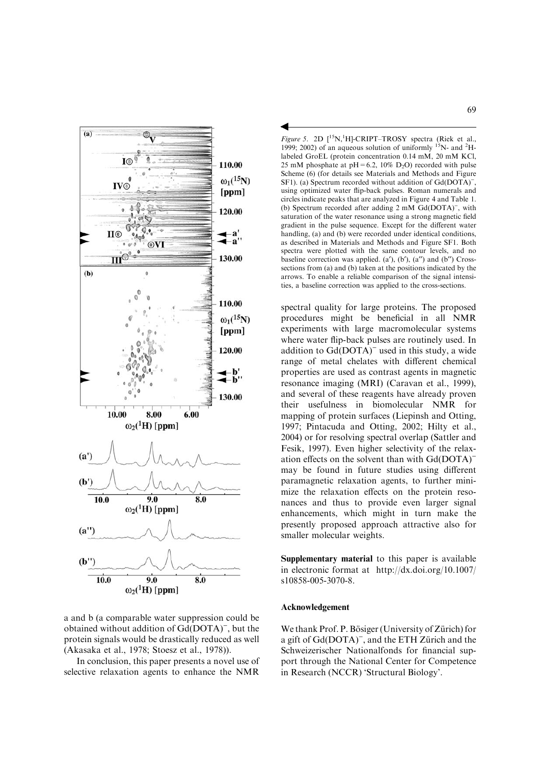

a and b (a comparable water suppression could be obtained without addition of Gd(DOTA)<sup>-</sup>, but the protein signals would be drastically reduced as well (Akasaka et al., 1978; Stoesz et al., 1978)).

In conclusion, this paper presents a novel use of selective relaxation agents to enhance the NMR

Figure 5. 2D  $[$ <sup>15</sup>N,<sup>1</sup>H]-CRIPT-TROSY spectra (Riek et al., 1999; 2002) of an aqueous solution of uniformly  $15N$ - and  $2H$ labeled GroEL (protein concentration 0.14 mM, 20 mM KCl, 25 mM phosphate at  $pH = 6.2$ , 10% D<sub>2</sub>O) recorded with pulse Scheme (6) (for details see Materials and Methods and Figure SF1). (a) Spectrum recorded without addition of Gd(DOTA)<sup>-</sup>, using optimized water flip-back pulses. Roman numerals and circles indicate peaks that are analyzed in Figure 4 and Table 1. (b) Spectrum recorded after adding 2 mM Gd(DOTA)<sup>-</sup>, with saturation of the water resonance using a strong magnetic field gradient in the pulse sequence. Except for the different water handling, (a) and (b) were recorded under identical conditions, as described in Materials and Methods and Figure SF1. Both spectra were plotted with the same contour levels, and no baseline correction was applied.  $(a')$ ,  $(b')$ ,  $(a'')$  and  $(b'')$  Crosssections from (a) and (b) taken at the positions indicated by the arrows. To enable a reliable comparison of the signal intensities, a baseline correction was applied to the cross-sections.

 $\blacktriangleleft$ 

spectral quality for large proteins. The proposed procedures might be beneficial in all NMR experiments with large macromolecular systems where water flip-back pulses are routinely used. In addition to  $Gd(DOTA)^-$  used in this study, a wide range of metal chelates with different chemical properties are used as contrast agents in magnetic resonance imaging (MRI) (Caravan et al., 1999), and several of these reagents have already proven their usefulness in biomolecular NMR for mapping of protein surfaces (Liepinsh and Otting, 1997; Pintacuda and Otting, 2002; Hilty et al., 2004) or for resolving spectral overlap (Sattler and Fesik, 1997). Even higher selectivity of the relaxation effects on the solvent than with Gd(DOTA)) may be found in future studies using different paramagnetic relaxation agents, to further minimize the relaxation effects on the protein resonances and thus to provide even larger signal enhancements, which might in turn make the presently proposed approach attractive also for smaller molecular weights.

Supplementary material to this paper is available in electronic format at http://dx.doi.org/10.1007/ s10858-005-3070-8.

#### Acknowledgement

We thank Prof. P. Bösiger (University of Zürich) for a gift of Gd(DOTA)<sup>-</sup>, and the ETH Zürich and the Schweizerischer Nationalfonds for financial support through the National Center for Competence in Research (NCCR) 'Structural Biology'.